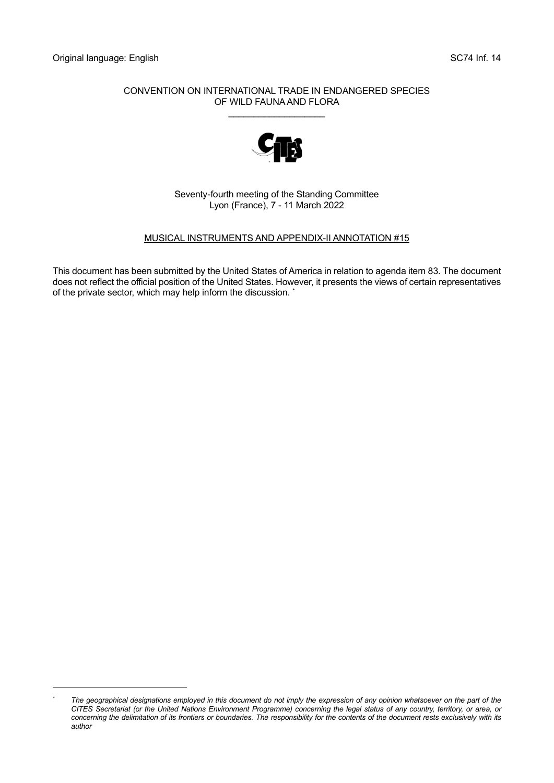#### CONVENTION ON INTERNATIONAL TRADE IN ENDANGERED SPECIES OF WILD FAUNA AND FLORA

\_\_\_\_\_\_\_\_\_\_\_\_\_\_\_\_\_\_\_



Seventy-fourth meeting of the Standing Committee Lyon (France), 7 - 11 March 2022

## MUSICAL INSTRUMENTS AND APPENDIX-II ANNOTATION #15

This document has been submitted by the United States of America in relation to agenda item 83. The document does not reflect the official position of the United States. However, it presents the views of certain representatives of the private sector, which may help inform the discussion. \*

*<sup>\*</sup> The geographical designations employed in this document do not imply the expression of any opinion whatsoever on the part of the CITES Secretariat (or the United Nations Environment Programme) concerning the legal status of any country, territory, or area, or*  concerning the delimitation of its frontiers or boundaries. The responsibility for the contents of the document rests exclusively with its *author*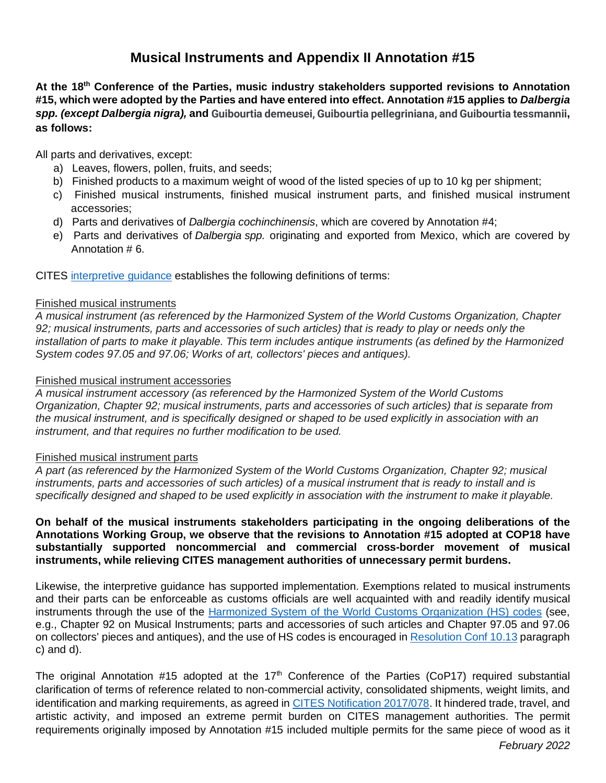# **Musical Instruments and Appendix II Annotation #15**

**At the 18th Conference of the Parties, music industry stakeholders supported revisions to Annotation #15, which were adopted by the Parties and have entered into effect. Annotation #15 applies to** *Dalbergia spp. (except Dalbergia nigra),* **and Guibourtia demeusei, Guibourtia pellegriniana, and Guibourtia tessmannii, as follows:**

All parts and derivatives, except:

- a) Leaves, flowers, pollen, fruits, and seeds;
- b) Finished products to a maximum weight of wood of the listed species of up to 10 kg per shipment;
- c) Finished musical instruments, finished musical instrument parts, and finished musical instrument accessories;
- d) Parts and derivatives of *Dalbergia cochinchinensis*, which are covered by Annotation #4;
- e) Parts and derivatives of *Dalbergia spp.* originating and exported from Mexico, which are covered by Annotation # 6.

CITES [interpretive guidance](https://cites.org/eng/app/appendices.php) establishes the following definitions of terms:

#### Finished musical instruments

*A musical instrument (as referenced by the Harmonized System of the World Customs Organization, Chapter 92; musical instruments, parts and accessories of such articles) that is ready to play or needs only the installation of parts to make it playable. This term includes antique instruments (as defined by the Harmonized System codes 97.05 and 97.06; Works of art, collectors' pieces and antiques).*

## Finished musical instrument accessories

*A musical instrument accessory (as referenced by the Harmonized System of the World Customs Organization, Chapter 92; musical instruments, parts and accessories of such articles) that is separate from the musical instrument, and is specifically designed or shaped to be used explicitly in association with an instrument, and that requires no further modification to be used.*

#### Finished musical instrument parts

*A part (as referenced by the Harmonized System of the World Customs Organization, Chapter 92; musical instruments, parts and accessories of such articles) of a musical instrument that is ready to install and is specifically designed and shaped to be used explicitly in association with the instrument to make it playable.*

**On behalf of the musical instruments stakeholders participating in the ongoing deliberations of the Annotations Working Group, we observe that the revisions to Annotation #15 adopted at COP18 have substantially supported noncommercial and commercial cross-border movement of musical instruments, while relieving CITES management authorities of unnecessary permit burdens.**

Likewise, the interpretive guidance has supported implementation. Exemptions related to musical instruments and their parts can be enforceable as customs officials are well acquainted with and readily identify musical instruments through the use of the [Harmonized System of the World Customs Organization \(HS\) codes](https://hts.usitc.gov/current) (see, e.g., Chapter 92 on Musical Instruments; parts and accessories of such articles and Chapter 97.05 and 97.06 on collectors' pieces and antiques), and the use of HS codes is encouraged in [Resolution Conf 10.13](https://cites.org/sites/default/files/document/E-Res-10-13-R18.pdf) paragraph c) and d).

The original Annotation #15 adopted at the  $17<sup>th</sup>$  Conference of the Parties (CoP17) required substantial clarification of terms of reference related to non-commercial activity, consolidated shipments, weight limits, and identification and marking requirements, as agreed in [CITES Notification 2017/078.](https://www.cites.org/sites/default/files/notif/E-Notif-2017-078.pdf) It hindered trade, travel, and artistic activity, and imposed an extreme permit burden on CITES management authorities. The permit requirements originally imposed by Annotation #15 included multiple permits for the same piece of wood as it

*February 2022*